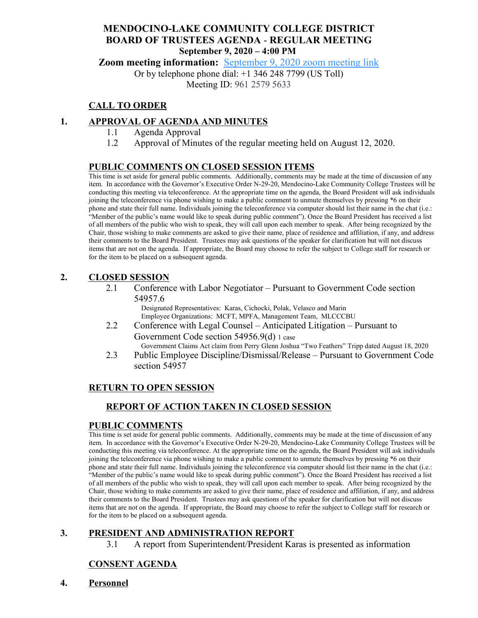## **MENDOCINO-LAKE COMMUNITY COLLEGE DISTRICT BOARD OF TRUSTEES AGENDA** - **REGULAR MEETING September 9, 2020 – 4:00 PM**

**Zoom meeting information:** [September 9, 2020 zoom meeting link](https://cccconfer.zoom.us/s/96125795633)

Or by telephone phone dial: +1 346 248 7799 (US Toll)

Meeting ID: 961 2579 5633

## **CALL TO ORDER**

### **1. APPROVAL OF AGENDA AND MINUTES**

- 1.1 Agenda Approval
- 1.2 Approval of Minutes of the regular meeting held on August 12, 2020.

### **PUBLIC COMMENTS ON CLOSED SESSION ITEMS**

This time is set aside for general public comments. Additionally, comments may be made at the time of discussion of any item. In accordance with the Governor's Executive Order N-29-20, Mendocino-Lake Community College Trustees will be conducting this meeting via teleconference. At the appropriate time on the agenda, the Board President will ask individuals joining the teleconference via phone wishing to make a public comment to unmute themselves by pressing \*6 on their phone and state their full name. Individuals joining the teleconference via computer should list their name in the chat (i.e.: "Member of the public's name would like to speak during public comment"). Once the Board President has received a list of all members of the public who wish to speak, they will call upon each member to speak. After being recognized by the Chair, those wishing to make comments are asked to give their name, place of residence and affiliation, if any, and address their comments to the Board President. Trustees may ask questions of the speaker for clarification but will not discuss items that are not on the agenda. If appropriate, the Board may choose to refer the subject to College staff for research or for the item to be placed on a subsequent agenda.

### **2. CLOSED SESSION**

2.1 Conference with Labor Negotiator – Pursuant to Government Code section 54957.6

Designated Representatives: Karas, Cichocki, Polak, Velasco and Marin Employee Organizations: MCFT, MPFA, Management Team, MLCCCBU

2.2 Conference with Legal Counsel – Anticipated Litigation – Pursuant to Government Code section 54956.9(d) 1 case

Government Claims Act claim from Perry Glenn Joshua "Two Feathers" Tripp dated August 18, 2020

2.3 Public Employee Discipline/Dismissal/Release – Pursuant to Government Code section 54957

### **RETURN TO OPEN SESSION**

### **REPORT OF ACTION TAKEN IN CLOSED SESSION**

### **PUBLIC COMMENTS**

This time is set aside for general public comments. Additionally, comments may be made at the time of discussion of any item. In accordance with the Governor's Executive Order N-29-20, Mendocino-Lake Community College Trustees will be conducting this meeting via teleconference. At the appropriate time on the agenda, the Board President will ask individuals joining the teleconference via phone wishing to make a public comment to unmute themselves by pressing \*6 on their phone and state their full name. Individuals joining the teleconference via computer should list their name in the chat (i.e.: "Member of the public's name would like to speak during public comment"). Once the Board President has received a list of all members of the public who wish to speak, they will call upon each member to speak. After being recognized by the Chair, those wishing to make comments are asked to give their name, place of residence and affiliation, if any, and address their comments to the Board President. Trustees may ask questions of the speaker for clarification but will not discuss items that are not on the agenda. If appropriate, the Board may choose to refer the subject to College staff for research or for the item to be placed on a subsequent agenda.

### **3. PRESIDENT AND ADMINISTRATION REPORT**

3.1 A report from Superintendent/President Karas is presented as information

# **CONSENT AGENDA**

**4. Personnel**